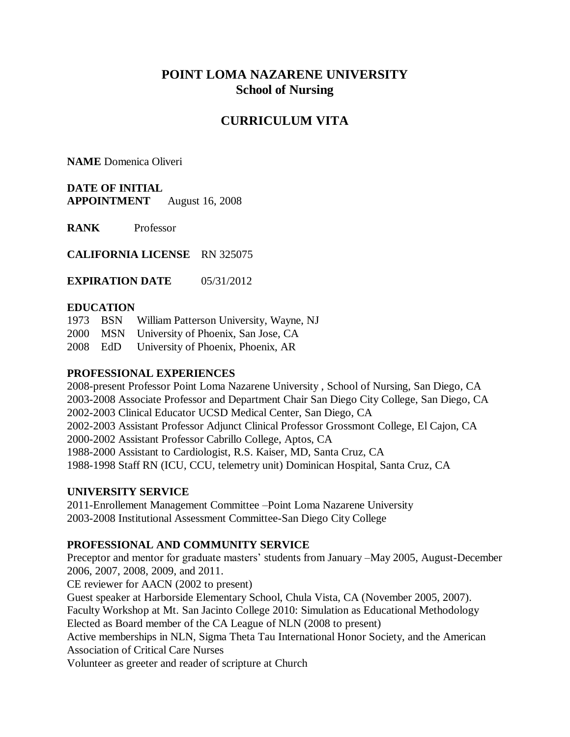# **POINT LOMA NAZARENE UNIVERSITY School of Nursing**

# **CURRICULUM VITA**

**NAME** Domenica Oliveri

**DATE OF INITIAL APPOINTMENT** August 16, 2008

**RANK** Professor

**CALIFORNIA LICENSE** RN 325075

**EXPIRATION DATE** 05/31/2012

#### **EDUCATION**

1973 BSN William Patterson University, Wayne, NJ 2000 MSN University of Phoenix, San Jose, CA

2008 EdD University of Phoenix, Phoenix, AR

#### **PROFESSIONAL EXPERIENCES**

2008-present Professor Point Loma Nazarene University , School of Nursing, San Diego, CA 2003-2008 Associate Professor and Department Chair San Diego City College, San Diego, CA 2002-2003 Clinical Educator UCSD Medical Center, San Diego, CA 2002-2003 Assistant Professor Adjunct Clinical Professor Grossmont College, El Cajon, CA 2000-2002 Assistant Professor Cabrillo College, Aptos, CA 1988-2000 Assistant to Cardiologist, R.S. Kaiser, MD, Santa Cruz, CA 1988-1998 Staff RN (ICU, CCU, telemetry unit) Dominican Hospital, Santa Cruz, CA

### **UNIVERSITY SERVICE**

2011-Enrollement Management Committee –Point Loma Nazarene University 2003-2008 Institutional Assessment Committee-San Diego City College

### **PROFESSIONAL AND COMMUNITY SERVICE**

Preceptor and mentor for graduate masters' students from January –May 2005, August-December 2006, 2007, 2008, 2009, and 2011.

CE reviewer for AACN (2002 to present)

Guest speaker at Harborside Elementary School, Chula Vista, CA (November 2005, 2007). Faculty Workshop at Mt. San Jacinto College 2010: Simulation as Educational Methodology

Elected as Board member of the CA League of NLN (2008 to present)

Active memberships in NLN, Sigma Theta Tau International Honor Society, and the American Association of Critical Care Nurses

Volunteer as greeter and reader of scripture at Church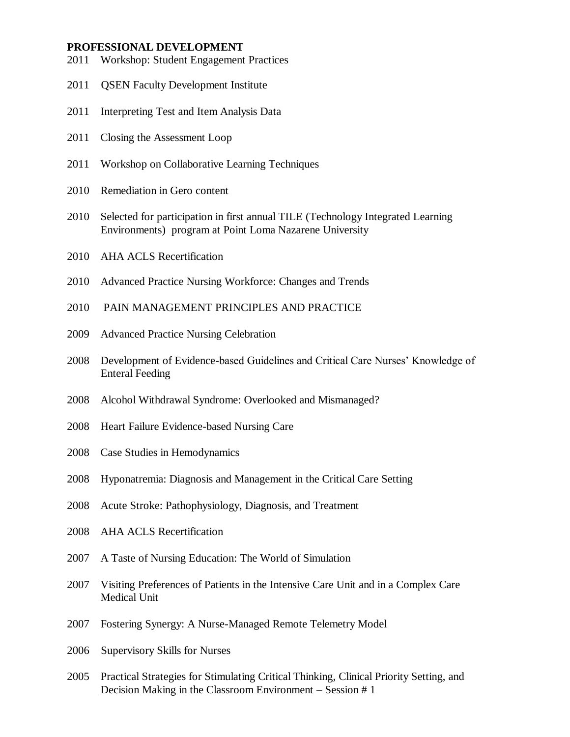#### **PROFESSIONAL DEVELOPMENT**

- 2011 Workshop: Student Engagement Practices
- 2011 QSEN Faculty Development Institute
- 2011 Interpreting Test and Item Analysis Data
- 2011 Closing the Assessment Loop
- 2011 Workshop on Collaborative Learning Techniques
- 2010 Remediation in Gero content
- 2010 Selected for participation in first annual TILE (Technology Integrated Learning Environments) program at Point Loma Nazarene University
- 2010 AHA ACLS Recertification
- 2010 Advanced Practice Nursing Workforce: Changes and Trends
- 2010 PAIN MANAGEMENT PRINCIPLES AND PRACTICE
- 2009 Advanced Practice Nursing Celebration
- 2008 Development of Evidence-based Guidelines and Critical Care Nurses' Knowledge of Enteral Feeding
- 2008 Alcohol Withdrawal Syndrome: Overlooked and Mismanaged?
- 2008 Heart Failure Evidence-based Nursing Care
- 2008 Case Studies in Hemodynamics
- 2008 Hyponatremia: Diagnosis and Management in the Critical Care Setting
- 2008 Acute Stroke: Pathophysiology, Diagnosis, and Treatment
- 2008 AHA ACLS Recertification
- 2007 A Taste of Nursing Education: The World of Simulation
- 2007 Visiting Preferences of Patients in the Intensive Care Unit and in a Complex Care Medical Unit
- 2007 Fostering Synergy: A Nurse-Managed Remote Telemetry Model
- 2006 Supervisory Skills for Nurses
- 2005 Practical Strategies for Stimulating Critical Thinking, Clinical Priority Setting, and Decision Making in the Classroom Environment – Session # 1